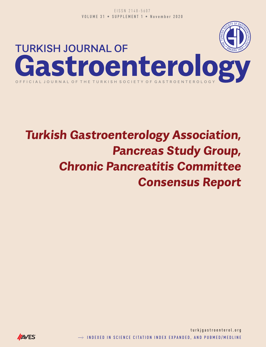

# **Turkish Gastroenterology Association, Pancreas Study Group, Chronic Pancreatitis Committee Consensus Report**

 $\rightarrow$  indexed in science citation index expanded, and pubmed/medline turkjgastroenterol.org

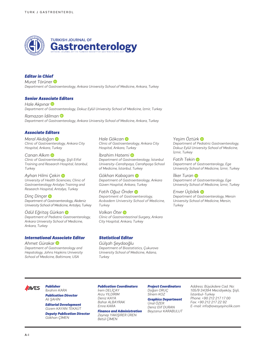

### *Editor in Chief*

*Murat Törüner Department of Gastroenterology, Ankara University School of Medicine, Ankara, Turkey*

#### *Senior Associate Editors*

*Hale Akpınar Department of Gastroenterology, Dokuz Eylül University School of Medicine, İzmir, Turkey*

*Ramazan İdilman Department of Gastroenterology, Ankara University School of Medicine, Ankara, Turkey*

#### *Associate Editors*

*Meral Akdoğan Clinic of Gastroenterology, Ankara City Hospital, Ankara, Turkey*

*Canan Alkım Clinic of Gastroenterology, Şişli Etfal Training and Research Hospital, İstanbul, Turkey*

*Ayhan Hilmi Çekin University of Health Sciencies; Clinic of Gastroenterology Antalya Training and Research Hospital, Antalya, Turkey*

*Dinç Dinçer Department of Gastroenterology, Akdeniz University School of Medicine, Antalya, Turkey*

*Ödül Eğritaş Gürkan Department of Pediatric Gastroenterology, Ankara University School of Medicine, Ankara, Turkey*

#### *International Associate Editor*

*Ahmet Gürakar Department of Gastroenterology and Hepatology, Johns Hopkins University School of Medicine, Baltimore, USA*

*Hale Gökcan Clinic of Gastroenterology, Ankara City Hospital, Ankara, Turkey*

*İbrahim Hatemi Department of Gastroenterology, İstanbul University-Cerrahpaşa, Cerrahpaşa School of Medicine, İstanbul, Turkey*

*Gökhan Kabaça[m](https://orcid.org/0000-0002-2099-9697)  Department of Gastroenterology, Ankara Güven Hospital, Ankara, Turkey*

*Fatih Oğuz Önder Department of Gastroenterology, Acıbadem University School of Medicine, Turkey*

*Volkan Öter Clinic of Gastrointestinal Surgery, Ankara City Hospital, Ankara, Turkey*

#### *Statistical Editor*

*Gülşah Şeydaoğlu Department of Biostatistics, Çukurova University School of Medicine, Adana, Turkey*

*Yeşim Öztürk*

*Department of Pediatric Gastroenterology, Dokuz Eylül University School of Medicine, İzmir, Turkey*

*Fatih Tekin Department of Gastroenterology, Ege University School of Medicine, İzmir, Turkey*

*İlker Tura[n](https://orcid.org/0000-0001-8998-1965)  Department of Gastroenterology, Ege University School of Medicine, İzmir, Turkey*

*Enver Üçbilek Department of Gastroenterology, Mersin University School of Medicine, Mersin, Turkey*

#### *Publisher*  **AVES**

### *İbrahim KARA*

*Publication Director Ali ŞAHİN Editorial Development*

*Gizem KAYAN TEKAÜT Deputy Publication Director Gökhan ÇİMEN*

#### *Publication Coordinators*

*İrem DELİÇAY Arzu YILDIRIM Deniz KAYA Bahar ALBAYRAK Emre KARA*

*Finance and Administration Zeynep YAKIŞIRER ÜREN Betül ÇİMEN*

*Project Coordinators Doğan ORUÇ Sİnem KOZ*

### *Graphics Department*

*Ünal ÖZER Deniz Elif DURAN Beyzanur KARABULUT* *Address: Büyükdere Cad. No: 105/9 34394 Mecidiyeköy, Şişli, İstanbul-Turkey Phone: +90 212 217 17 00 Fax: +90 212 217 22 92 E-mail: info@avesyayincilik.com*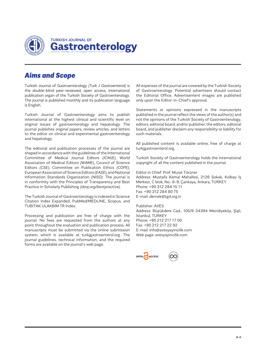

### *Aims and Scope*

Turkish Journal of Gastroenterology *(Turk J Gastroenterol)* is the double-blind peer-reviewed, open access, international publication organ of the Turkish Society of Gastroenterology. The journal is published monthly and its publication language is English.

Turkish Journal of Gastroenterology aims to publish international at the highest clinical and scientific level on original issues of gastroenterology and hepatology. The journal publishes original papers, review articles, and letters to the editor on clinical and experimental gastroenterology and hepatology.

The editorial and publication processes of the journal are shaped in accordance with the guidelines of the International Committee of Medical Journal Editors *(ICMJE)*, World Association of Medical Editors *(WAME)*, Council of Science Editors *(CSE)*, Committee on Publication Ethics *(COPE)*, European Association of Science Editors *(EASE)*, and National Information Standards Organization *(NISO)*. The journal is in conformity with the Principles of Transparency and Best Practice in Scholarly Publishing *(doaj.org/bestpractice)*.

The Turkish Journal of Gastroenterology is indexed in Science Citation Index Expanded, PubMed/MEDLINE, Scopus, and TUBITAK ULAKBIM TR Index.

Processing and publication are free of charge with the journal. No fees are requested from the authors at any point throughout the evaluation and publication process. All manuscripts must be submitted via the online submission system, which is available at turkjgastroenterol.org. The journal guidelines, technical information, and the required forms are available on the journal's web page.

All expenses of the journal are covered by the Turkish Society of Gastroenterology. Potential advertisers should contact the Editorial Office. Advertisement images are published only upon the Editor-in-Chief's approval.

Statements or opinions expressed in the manuscripts published in the journal reflect the views of the author(s) and not the opinions of the Turkish Society of Gastroenterology, editors, editorial board, and/or publisher; the editors, editorial board, and publisher disclaim any responsibility or liability for such materials.

All published content is available online, free of charge at turkjgastroenterol.org.

Turkish Society of Gastroenterology holds the international copyright of all the content published in the journal.

Editor in Chief: Prof. Murat Törüner Address: Mustafa Kemal Mahallesi, 2126 Sokak, Kolbay İş Merkezi, C blok, No.: 6-9, Çankaya, Ankara, TURKEY Phone: +90 312 284 15 11 Fax: +90 312 284 80 75 E-mail: dernek@tgd.org.tr

Publisher: AVES Address: Büyükdere Cad., 105/9 34394 Mecidiyeköy, Şişli, İstanbul, TURKEY Phone: +90 212 217 17 00 Fax: +90 212 217 22 92 E-mail: info@avesyayincilik.com Web page: avesyayincilik.com

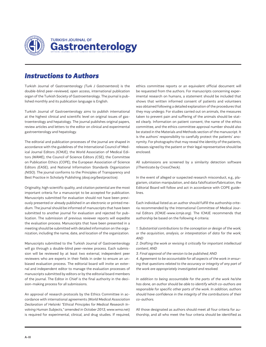

### *Instructions to Authors*

Turkish Journal of Gastroenterology *(Turk J Gastroenterol)* is the double-blind peer-reviewed, open access, international publication organ of the Turkish Society of Gastroenterology. The journal is published monthly and its publication language is English.

Turkish Journal of Gastroenterology aims to publish international at the highest clinical and scientific level on original issues of gastroenterology and hepatology. The journal publishes original papers, review articles and letters to the editor on clinical and experimental gastroenterology and hepatology.

The editorial and publication processes of the journal are shaped in accordance with the guidelines of the International Council of Medical Journal Editors *(ICMJE),* the World Association of Medical Editors *(WAME)*, the Council of Science Editors *(CSE),* the Committee on Publication Ethics *(COPE),* the European Association of Science Editors *(EASE)*, and National Information Standards Organization *(NISO)*. The journal conforms to the Principles of Transparency and Best Practice in Scholarly Publishing *(doaj.org/bestpractice)*.

Originality, high scientific quality, and citation potential are the most important criteria for a manuscript to be accepted for publication. Manuscripts submitted for evaluation should not have been previously presented or already published in an electronic or printed medium. The journal should be informed of manuscripts that have been submitted to another journal for evaluation and rejected for publication. The submission of previous reviewer reports will expedite the evaluation process. Manuscripts that have been presented in a meeting should be submitted with detailed information on the organization, including the name, date, and location of the organization.

Manuscripts submitted to the Turkish Journal of Gastroenterology will go through a double-blind peer-review process. Each submission will be reviewed by at least two external, independent peer reviewers who are experts in their fields in order to ensure an unbiased evaluation process. The editorial board will invite an external and independent editor to manage the evaluation processes of manuscripts submitted by editors or by the editorial board members of the journal. The Editor in Chief is the final authority in the decision-making process for all submissions.

An approval of research protocols by the Ethics Committee in accordance with international agreements *(World Medical Association Declaration of Helsinki "Ethical Principles for Medical Research Involving Human Subjects," amended in October 2013, www.wma.net)* is required for experimental, clinical, and drug studies. If required,

ethics committee reports or an equivalent official document will be requested from the authors. For manuscripts concerning experimental research on humans, a statement should be included that shows that written informed consent of patients and volunteers was obtained following a detailed explanation of the procedures that they may undergo. For studies carried out on animals, the measures taken to prevent pain and suffering of the animals should be stated clearly. Information on patient consent, the name of the ethics committee, and the ethics committee approval number should also be stated in the Materials and Methods section of the manuscript. It is the authors' responsibility to carefully protect the patients' anonymity. For photographs that may reveal the identity of the patients, releases signed by the patient or their legal representative should be enclosed.

All submissions are screened by a similarity detection software *(iThenticate by CrossCheck)*.

In the event of alleged or suspected research misconduct, e.g., plagiarism, citation manipulation, and data falsification/fabrication, the Editorial Board will follow and act in accordance with COPE guidelines.

Each individual listed as an author should fulfill the authorship criteria recommended by the International Committee of Medical Journal Editors *(ICMJE-www.icmje.org)*. The ICMJE recommends that authorship be based on the following 4 criteria:

*1. Substantial contributions to the conception or design of the work; or the acquisition, analysis, or interpretation of data for the work; AND*

*2. Drafting the work or revising it critically for important intellectual content; AND*

*3. Final approval of the version to be published; AND*

*4. Agreement to be accountable for all aspects of the work in ensuring that questions related to the accuracy or integrity of any part of the work are appropriately investigated and resolved.*

*In addition to being accountable for the parts of the work he/she has done, an author should be able to identify which co-authors are responsible for specific other parts of the work. In addition, authors should have confidence in the integrity of the contributions of their co-authors.*

All those designated as authors should meet all four criteria for authorship, and all who meet the four criteria should be identified as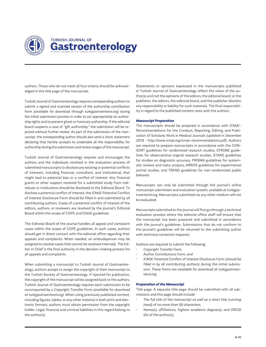

# **TURKISH JOURNAL OF** Gastroenterology

authors. Those who do not meet all four criteria should be acknowledged in the title page of the manuscript.

Turkish Journal of Gastroenterology requires corresponding authors to submit a signed and scanned version of the authorship contribution form *(available for download through turkjgastroenterol.org)* during the initial submission process in order to act appropriately on authorship rights and to prevent ghost or honorary authorship. If the editorial board suspects a case of "gift authorship," the submission will be rejected without further review. As part of the submission of the manuscript, the corresponding author should also send a short statement declaring that he/she accepts to undertake all the responsibility for authorship during the submission and review stages of the manuscript.

Turkish Journal of Gastroenterology requires and encourages the authors and the individuals involved in the evaluation process of submitted manuscripts to disclose any existing or potential conflicts of interests, including financial, consultant, and institutional, that might lead to potential bias or a conflict of interest. Any financial grants or other support received for a submitted study from individuals or institutions should be disclosed to the Editorial Board. To disclose a potential conflict of interest, the ICMJE Potential Conflict of Interest Disclosure Form should be filled in and submitted by all contributing authors. Cases of a potential conflict of interest of the editors, authors, or reviewers are resolved by the journal's Editorial Board within the scope of COPE and ICMJE guidelines.

The Editorial Board of the journal handles all appeal and complaint cases within the scope of COPE guidelines. In such cases, authors should get in direct contact with the editorial office regarding their appeals and complaints. When needed, an ombudsperson may be assigned to resolve cases that cannot be resolved internally. The Editor in Chief is the final authority in the decision-making process for all appeals and complaints.

When submitting a manuscript to Turkish Journal of Gastroenterology, authors accept to assign the copyright of their manuscript to the Turkish Society of Gastroenterology. If rejected for publication, the copyright of the manuscript will be assigned back to the authors. Turkish Journal of Gastroenterology requires each submission to be accompanied by a Copyright Transfer Form *(available for download at turkjgastroenterol.org)*. When using previously published content, including figures, tables, or any other material in both print and electronic formats, authors must obtain permission from the copyright holder. Legal, financial and criminal liabilities in this regard belong to the author*(s)*.

Statements or opinions expressed in the manuscripts published in Turkish Journal of Gastroenterology reflect the views of the author*(s)* and not the opinions of the editors, the editorial board, or the publisher; the editors, the editorial board, and the publisher disclaim any responsibility or liability for such materials. The final responsibility in regard to the published content rests with the authors.

#### *Manuscript Preparation*

The manuscripts should be prepared in accordance with ICMJE-Recommendations for the Conduct, Reporting, Editing, and Publication of Scholarly Work in Medical Journals *(updated in December 2018 - http://www.icmje.org/icmje-recommendations.pdf)*. Authors are required to prepare manuscripts in accordance with the CON-SORT guidelines for randomized research studies, STROBE guidelines for observational original research studies, STARD guidelines for studies on diagnostic accuracy, PRISMA guidelines for systematic reviews and meta-analysis, ARRIVE guidelines for experimental animal studies, and TREND guidelines for non-randomized public behavior.

Manuscripts can only be submitted through the journal's online manuscript submission and evaluation system, available at turkjgastroenterol.org. Manuscripts submitted via any other medium will not be evaluated.

Manuscripts submitted to the journal will first go through a technical evaluation process where the editorial office staff will ensure that the manuscript has been prepared and submitted in accordance with the journal's guidelines. Submissions that do not conform to the journal's guidelines will be returned to the submitting author with technical correction requests.

Authors are required to submit the following:

- *• Copyright Transfer Form,*
- *• Author Contributions Form, and*
- *• ICMJE Potential Conflict of Interest Disclosure Form (should be filled in by all contributing authors) during the initial submission. These forms are available for download at turkjgastroenterol.org.*

#### *Preparation of the Manuscript*

Title page: A separate title page should be submitted with all submissions and this page should include:

- *• The full title of the manuscript as well as a short title (running head) of no more than 50 characters,*
- *• Name(s), affiliations, highest academic degree(s), and ORCID IDs of the author(s),*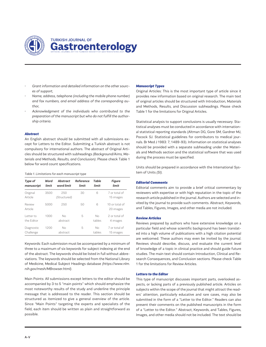

- *• Grant information and detailed information on the other sources of support,*
- *• Name, address, telephone (including the mobile phone number) and fax numbers, and email address of the corresponding author,*
- *• Acknowledgment of the individuals who contributed to the preparation of the manuscript but who do not fulfill the authorship criteria.*

#### *Abstract*

An English abstract should be submitted with all submissions except for Letters to the Editor. Submitting a Turkish abstract is not compulsory for international authors. The abstract of Original Articles should be structured with subheadings *(Background/Aims, Materials and Methods, Results, and Conclusion)*. Please check Table 1 below for word count specifications.

#### *Table 1. Limitations for each manuscript type*

| Type of<br>manuscript    | Word<br>limit | Abstract<br>word limit | Reference<br>limit | Table<br>limit | Figure<br>limit             |
|--------------------------|---------------|------------------------|--------------------|----------------|-----------------------------|
| Original<br>Article      | 3500          | 250<br>(Structured)    | 30                 | 6              | 7 or total of<br>15 images  |
| Review<br>Article        | 5000          | 250                    | 50                 | 6              | 10 or total of<br>20 images |
| l etter to<br>the Editor | 1000          | No<br>abstract         | 5                  | No<br>tables   | 2 or total of<br>4 images   |
| Diagnostic<br>Challenge  | 1200          | No<br>abstract         | 5                  | No<br>tables   | 7 or total of<br>15 images  |

Keywords: Each submission must be accompanied by a minimum of three to a maximum of six keywords for subject indexing at the end of the abstract. The keywords should be listed in full without abbreviations. The keywords should be selected from the National Library of Medicine, Medical Subject Headings database *(https://www.nlm. nih.gov/mesh/MBrowser.html)*.

Main Points: All submissions except letters to the editor should be accompanied by 3 to 5 "main points" which should emphasize the most noteworthy results of the study and underline the principle message that is addressed to the reader. This section should be structured as itemized to give a general overview of the article. Since "Main Points" targeting the experts and specialists of the field, each item should be written as plain and straightforward as possible.

#### *Manuscript Types*

Original Articles: This is the most important type of article since it provides new information based on original research. The main text of original articles should be structured with Introduction, Materials and Methods, Results, and Discussion subheadings. Please check Table 1 for the limitations for Original Articles.

Statistical analysis to support conclusions is usually necessary. Statistical analyses must be conducted in accordance with international statistical reporting standards (Altman DG, Gore SM, Gardner MJ, Pocock SJ. Statistical guidelines for contributors to medical journals. Br Med J 1983: 7; 1489-93). Information on statistical analyses should be provided with a separate subheading under the Materials and Methods section and the statistical software that was used during the process must be specified.

Units should be prepared in accordance with the International System of Units *(SI).*

#### *Editorial Comments*

Editorial comments aim to provide a brief critical commentary by reviewers with expertise or with high reputation in the topic of the research article published in the journal. Authors are selected and invited by the journal to provide such comments. Abstract, Keywords, and Tables, Figures, Images, and other media are not included.

#### *Review Articles*

Reviews prepared by authors who have extensive knowledge on a particular field and whose scientific background has been translated into a high volume of publications with a high citation potential are welcomed. These authors may even be invited by the journal. Reviews should describe, discuss, and evaluate the current level of knowledge of a topic in clinical practice and should guide future studies. The main text should contain Introduction, Clinical and Research Consequences, and Conclusion sections. Please check Table 1 for the limitations for Review Articles.

#### *Letters to the Editor*

This type of manuscript discusses important parts, overlooked aspects, or lacking parts of a previously published article. Articles on subjects within the scope of the journal that might attract the readers' attention, particularly educative and rare cases, may also be submitted in the form of a "Letter to the Editor." Readers can also present their comments on the published manuscripts in the form of a "Letter to the Editor." Abstract, Keywords, and Tables, Figures, Images, and other media should not be included. The text should be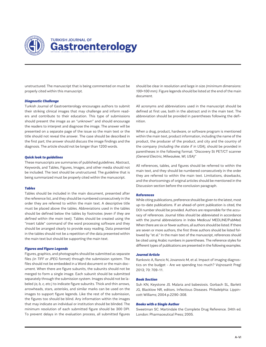

## **TURKISH JOURNAL OF** Gastroenterology

unstructured. The manuscript that is being commented on must be properly cited within this manuscript.

#### *Diagnostic Challenge*

Turkish Journal of Gastroenterology encourages authors to submit their striking clinical images that may challenge and inform readers and contribute to their education. This type of submissions should present the image as an "unknown" and should encourage the readers to interpret and diagnose the image. The answer will be presented on a separate page of the issue so the main text or the title should not reveal the answer. The case should be described in the first part; the answer should discuss the image findings and the diagnosis. The article should not be longer than 1200 words.

#### *Quick look to guidelines*

These manuscripts are summaries of published guidelines. Abstract, Keywords, and Tables, Figures, Images, and other media should not be included. The text should be unstructured. The guideline that is being summarized must be properly cited within the manuscript.

#### *Tables*

Tables should be included in the main document, presented after the reference list, and they should be numbered consecutively in the order they are referred to within the main text. A descriptive title must be placed above the tables. Abbreviations used in the tables should be defined below the tables by footnotes *(even if they are defined within the main text)*. Tables should be created using the "insert table" command of the word processing software and they should be arranged clearly to provide easy reading. Data presented in the tables should not be a repetition of the data presented within the main text but should be supporting the main text.

#### *Figures and Figure Legends*

Figures, graphics, and photographs should be submitted as separate files *(in TIFF or JPEG format)* through the submission system. The files should not be embedded in a Word document or the main document. When there are figure subunits, the subunits should not be merged to form a single image. Each subunit should be submitted separately through the submission system. Images should not be labeled *(a, b, c, etc.)* to indicate figure subunits. Thick and thin arrows, arrowheads, stars, asterisks, and similar marks can be used on the images to support figure legends. Like the rest of the submission, the figures too should be blind. Any information within the images that may indicate an individual or institution should be blinded. The minimum resolution of each submitted figure should be 300 DPI. To prevent delays in the evaluation process, all submitted figures should be clear in resolution and large in size *(minimum dimensions: 100×100 mm)*. Figure legends should be listed at the end of the main document.

All acronyms and abbreviations used in the manuscript should be defined at first use, both in the abstract and in the main text. The abbreviation should be provided in parentheses following the definition.

When a drug, product, hardware, or software program is mentioned within the main text, product information, including the name of the product, the producer of the product, and city and the country of the company *(including the state if in USA)*, should be provided in parentheses in the following format: "Discovery St PET/CT scanner *(General Electric, Milwaukee, WI, USA)"*

All references, tables, and figures should be referred to within the main text, and they should be numbered consecutively in the order they are referred to within the main text. Limitations, drawbacks, and the shortcomings of original articles should be mentioned in the Discussion section before the conclusion paragraph.

#### *References*

While citing publications, preference should be given to the latest, most up-to-date publications. If an ahead-of-print publication is cited, the DOI number should be provided. Authors are responsible for the accuracy of references. Journal titles should be abbreviated in accordance with the journal abbreviations in Index Medicus/ MEDLINE/PubMed. When there are six or fewer authors, all authors should be listed. If there are seven or more authors, the first three authors should be listed followed by "et al." In the main text of the manuscript, references should be cited using Arabic numbers in parentheses. The reference styles for different types of publications are presented in the following examples.

#### *Journal Article*

Rankovic A, Rancic N, Jovanovic M, et al. Impact of imaging diagnostics on the budget - Are we spending too much? Vojnosanit Pregl 2013; 70: 709-11.

#### *Book Section*

Suh KN, Keystone JS. Malaria and babesiosis. Gorbach SL, Barlett JG, Blacklow NR, editors. Infectious Diseases. Philadelphia: Lippincott Williams; 2004.p.2290-308.

#### *Books with a Single Author*

Sweetman SC. Martindale the Complete Drug Reference. 34th ed. London: Pharmaceutical Press; 2005.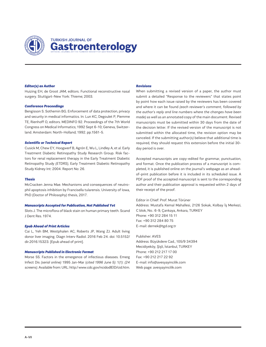

#### *Editor(s) as Author*

Huizing EH, de Groot JAM, editors. Functional reconstructive nasal surgery. Stuttgart-New York: Thieme; 2003.

#### *Conference Proceedings*

Bengisson S. Sothemin BG. Enforcement of data protection, privacy and security in medical informatics. In: Lun KC, Degoulet P, Piemme TE, Rienhoff O, editors. MEDINFO 92. Proceedings of the 7th World Congress on Medical Informatics; 1992 Sept 6-10; Geneva, Switzerland. Amsterdam: North-Holland; 1992. pp.1561-5.

#### *Scientific or Technical Report*

Cusick M, Chew EY, Hoogwerf B, Agrón E, Wu L, Lindley A, et al. Early Treatment Diabetic Retinopathy Study Research Group. Risk factors for renal replacement therapy in the Early Treatment Diabetic Retinopathy Study *(ETDRS)*, Early Treatment Diabetic Retinopathy Study Kidney Int: 2004. Report No: 26.

#### *Thesis*

McCracken Jenna Mae. Mechanisms and consequences of neutrophil apoptosis inhibition by Francisella tularensis. University of Iowa, PhD (Doctor of Philosophy) thesis, 2017.

#### *Manuscripts Accepted for Publication, Not Published Yet*

Slots J. The microflora of black stain on human primary teeth. Scand J Dent Res. 1974.

#### *Epub Ahead of Print Articles*

Cai L, Yeh BM, Westphalen AC, Roberts JP, Wang ZJ. Adult living donor liver imaging. Diagn Interv Radiol. 2016 Feb 24. doi: 10.5152/ dir.2016.15323. [Epub ahead of print].

#### *Manuscripts Published in Electronic Format*

Morse SS. Factors in the emergence of infectious diseases. Emerg Infect Dis *(serial online)* 1995 Jan-Mar (*cited 1996 June 5)*: 1*(1)*: *(24 screens)*. Available from: URL: http:/ www.cdc.gov/ncidodlElD/cid.htm.

#### *Revisions*

When submitting a revised version of a paper, the author must submit a detailed "Response to the reviewers" that states point by point how each issue raised by the reviewers has been covered and where it can be found *(each reviewer's comment, followed by the author's reply and line numbers where the changes have been made)* as well as an annotated copy of the main document. Revised manuscripts must be submitted within 30 days from the date of the decision letter. If the revised version of the manuscript is not submitted within the allocated time, the revision option may be canceled. If the submitting author*(s)* believe that additional time is required, they should request this extension before the initial 30 day period is over.

Accepted manuscripts are copy-edited for grammar, punctuation, and format. Once the publication process of a manuscript is completed, it is published online on the journal's webpage as an aheadof-print publication before it is included in its scheduled issue. A PDF proof of the accepted manuscript is sent to the corresponding author and their publication approval is requested within 2 days of their receipt of the proof.

#### Editor in Chief: Prof. Murat Törüner

Address: Mustafa Kemal Mahallesi, 2126 Sokak, Kolbay İş Merkezi, C blok, No.: 6-9, Çankaya, Ankara, TURKEY Phone: +90 312 284 15 11 Fax: +90 312 284 80 75 E-mail: dernek@tgd.org.tr

#### Publisher: AVES

Address: Büyükdere Cad., 105/9 34394 Mecidiyeköy, Şişli, İstanbul, TURKEY Phone: +90 212 217 17 00 Fax: +90 212 217 22 92 E-mail: info@avesyayincilik.com Web page: avesyayincilik.com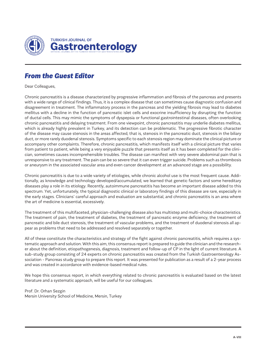

# *From the Guest Editor*

Dear Colleagues,

Chronic pancreatitis is a disease characterized by progressive inflammation and fibrosis of the pancreas and presents with a wide range of clinical findings. Thus, it is a complex disease that can sometimes cause diagnostic confusion and disagreement in treatment. The inflammatory process in the pancreas and the yielding fibrosis may lead to diabetes mellitus with a decline in the function of pancreatic islet cells and exocrine insufficiency by disrupting the function of ductal cells. This may mimic the symptoms of dyspepsia or functional gastrointestinal diseases, often overlooking chronic pancreatitis and delaying treatment. From one viewpoint, chronic pancreatitis may underlie diabetes mellitus, which is already highly prevalent in Turkey, and its detection can be problematic. The progressive fibrotic character of the disease may cause stenosis in the areas affected, that is, stenosis in the pancreatic duct, stenosis in the biliary duct, or more rarely duodenal stenosis. Symptoms specific to each stenosis region may dominate the clinical picture or accompany other complaints. Therefore, chronic pancreatitis, which manifests itself with a clinical picture that varies from patient to patient, while being a very enjoyable puzzle that presents itself as it has been completed for the clinician, sometimes causes incomprehensible troubles. The disease can manifest with very severe abdominal pain that is unresponsive to any treatment. The pain can be so severe that it can even trigger suicide. Problems such as thrombosis or aneurysm in the associated vascular area and even cancer development at an advanced stage are a possibility.

Chronic pancreatitis is due to a wide variety of etiologies, while chronic alcohol use is the most frequent cause. Additionally, as knowledge and technology developed/accumulated, we learned that genetic factors and some hereditary diseases play a role in its etiology. Recently, autoimmune pancreatitis has become an important disease added to this spectrum. Yet, unfortunately, the typical diagnostic clinical or laboratory findings of this disease are rare, especially in the early stages. Clinicians' careful approach and evaluation are substantial, and chronic pancreatitis is an area where the art of medicine is essential, excessively.

The treatment of this multifaceted, physician-challenging disease also has multistep and multi-choice characteristics. The treatment of pain, the treatment of diabetes, the treatment of pancreatic enzyme deficiency, the treatment of pancreatic and bile duct stenosis, the treatment of vascular problems, and the treatment of duodenal stenosis all appear as problems that need to be addressed and resolved separately or together.

All of these constitute the characteristics and strategy of the fight against chronic pancreatitis, which requires a systematic approach and solution. With this aim, this consensus report is prepared to guide the clinician and the researcher about the definition, etiopathogenesis, diagnosis, treatment and follow-up of CP in the light of current literature. A sub-study group consisting of 24 experts on chronic pancreatitis was created from the Turkish Gastroenterology Association - Pancreas study group to prepare this report. It was presented for publication as a result of a 2-year process and was created in accordance with evidence-based medical rules.

We hope this consensus report, in which everything related to chronic pancreatitis is evaluated based on the latest literature and a systematic approach, will be useful for our colleagues.

Prof. Dr. Orhan Sezgin Mersin University School of Medicine, Mersin, Turkey